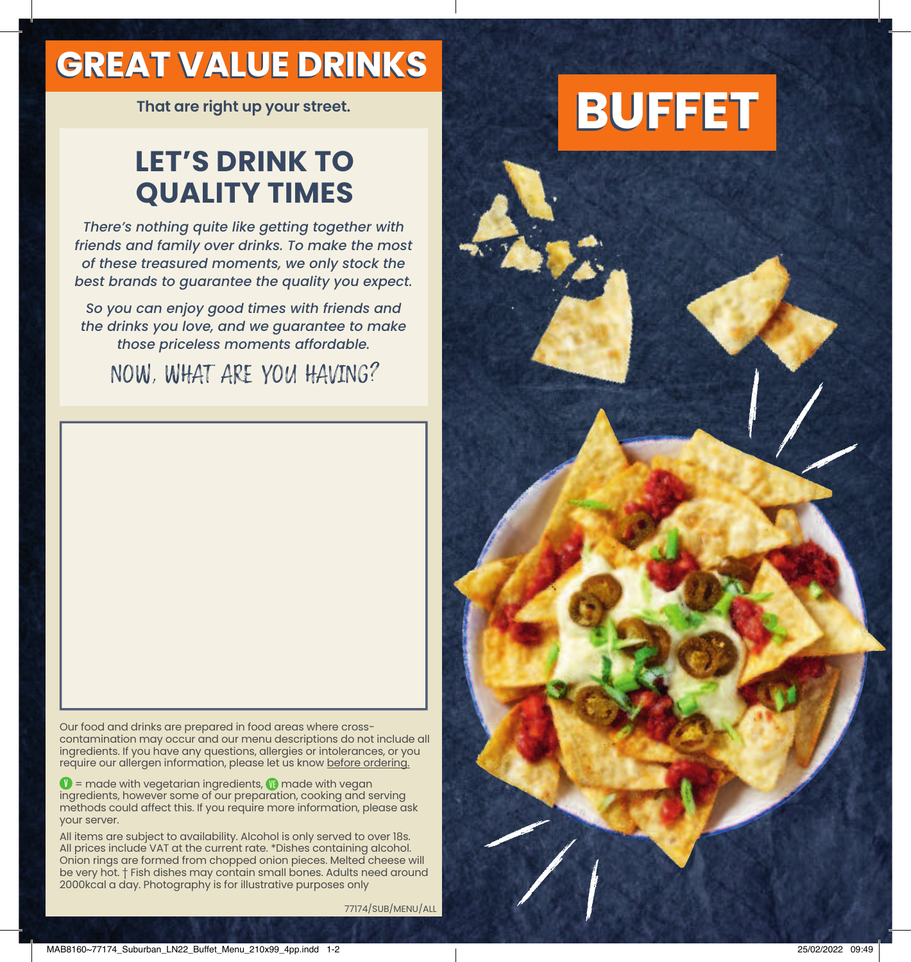## **GREAT VALUE DRINKS**

### **LET'S DRINK TO QUALITY TIMES**

*There's nothing quite like getting together with friends and family over drinks. To make the most of these treasured moments, we only stock the best brands to guarantee the quality you expect.*

*So you can enjoy good times with friends and the drinks you love, and we guarantee to make those priceless moments affordable.* 

#### NOW, WHAT ARE YOU HAVING?

Our food and drinks are prepared in food areas where crosscontamination may occur and our menu descriptions do not include all ingredients. If you have any questions, allergies or intolerances, or you require our allergen information, please let us know before ordering.

 $\bullet$  = made with vegetarian ingredients,  $\bullet$  made with vegan ingredients, however some of our preparation, cooking and serving methods could affect this. If you require more information, please ask your server.

All items are subject to availability. Alcohol is only served to over 18s. All prices include VAT at the current rate. \*Dishes containing alcohol. Onion rings are formed from chopped onion pieces. Melted cheese will be very hot. † Fish dishes may contain small bones. Adults need around 2000kcal a day. Photography is for illustrative purposes only

77174/SUB/MENU/ALL

# **That are right up your street. BUFFET**